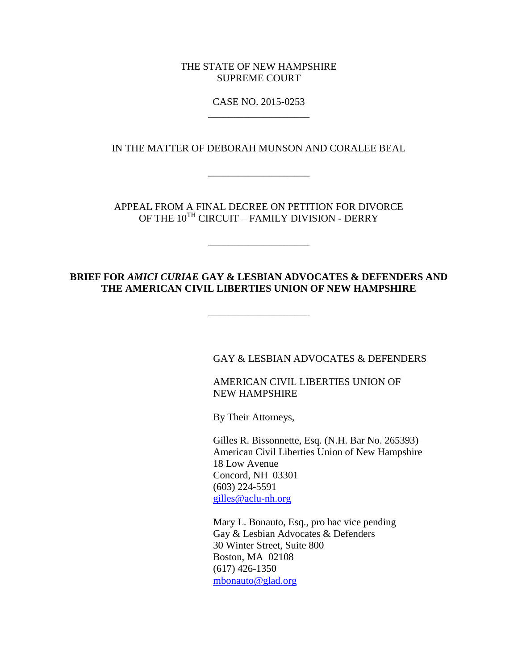THE STATE OF NEW HAMPSHIRE SUPREME COURT

> CASE NO. 2015-0253 \_\_\_\_\_\_\_\_\_\_\_\_\_\_\_\_\_\_\_\_

IN THE MATTER OF DEBORAH MUNSON AND CORALEE BEAL

\_\_\_\_\_\_\_\_\_\_\_\_\_\_\_\_\_\_\_\_

APPEAL FROM A FINAL DECREE ON PETITION FOR DIVORCE OF THE  $10^{TH}$  CIRCUIT – FAMILY DIVISION - DERRY

\_\_\_\_\_\_\_\_\_\_\_\_\_\_\_\_\_\_\_\_

# **BRIEF FOR** *AMICI CURIAE* **GAY & LESBIAN ADVOCATES & DEFENDERS AND THE AMERICAN CIVIL LIBERTIES UNION OF NEW HAMPSHIRE**

\_\_\_\_\_\_\_\_\_\_\_\_\_\_\_\_\_\_\_\_

### GAY & LESBIAN ADVOCATES & DEFENDERS

AMERICAN CIVIL LIBERTIES UNION OF NEW HAMPSHIRE

By Their Attorneys,

Gilles R. Bissonnette, Esq. (N.H. Bar No. 265393) American Civil Liberties Union of New Hampshire 18 Low Avenue Concord, NH 03301 (603) 224-5591 [gilles@aclu-nh.org](mailto:gilles@aclu-nh.org)

Mary L. Bonauto, Esq., pro hac vice pending Gay & Lesbian Advocates & Defenders 30 Winter Street, Suite 800 Boston, MA 02108 (617) 426-1350 [mbonauto@glad.org](mailto:mbonauto@glad.org)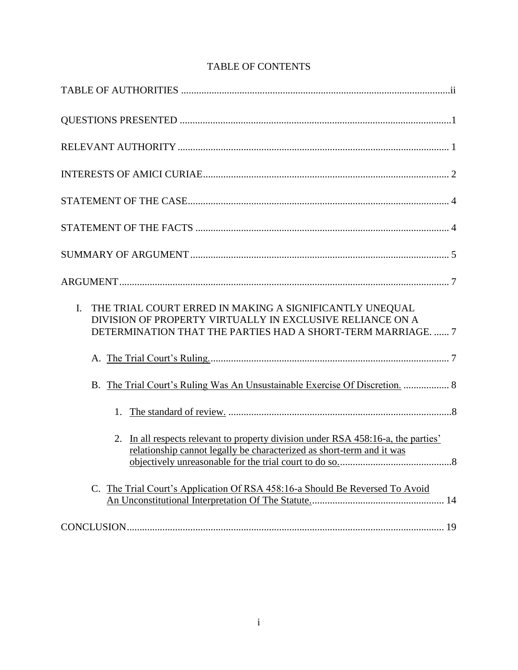| THE TRIAL COURT ERRED IN MAKING A SIGNIFICANTLY UNEQUAL<br>L.<br>DIVISION OF PROPERTY VIRTUALLY IN EXCLUSIVE RELIANCE ON A<br>DETERMINATION THAT THE PARTIES HAD A SHORT-TERM MARRIAGE.  7 |
|--------------------------------------------------------------------------------------------------------------------------------------------------------------------------------------------|
|                                                                                                                                                                                            |
| B. The Trial Court's Ruling Was An Unsustainable Exercise Of Discretion.  8                                                                                                                |
| 1.                                                                                                                                                                                         |
| 2. In all respects relevant to property division under RSA 458:16-a, the parties'<br>relationship cannot legally be characterized as short-term and it was                                 |
| C. The Trial Court's Application Of RSA 458:16-a Should Be Reversed To Avoid                                                                                                               |
|                                                                                                                                                                                            |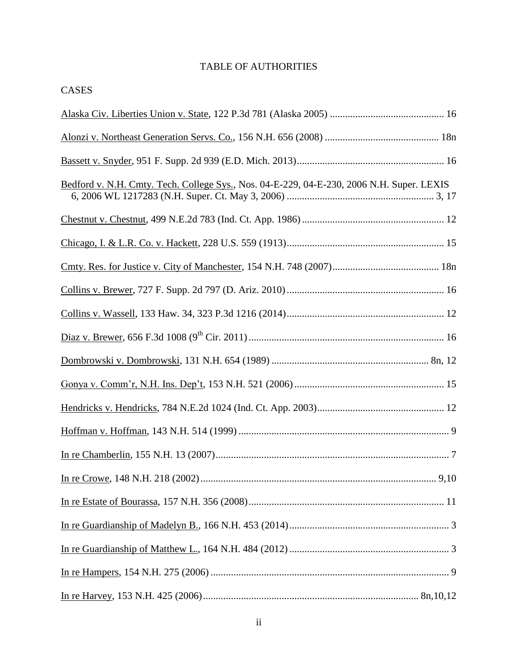### TABLE OF AUTHORITIES

CASES

| Bedford v. N.H. Cmty. Tech. College Sys., Nos. 04-E-229, 04-E-230, 2006 N.H. Super. LEXIS |  |
|-------------------------------------------------------------------------------------------|--|
|                                                                                           |  |
|                                                                                           |  |
|                                                                                           |  |
|                                                                                           |  |
|                                                                                           |  |
|                                                                                           |  |
|                                                                                           |  |
|                                                                                           |  |
|                                                                                           |  |
|                                                                                           |  |
|                                                                                           |  |
|                                                                                           |  |
|                                                                                           |  |

In re Guardianship of Madelyn B., 166 N.H. 453 (2014)............................................................... 3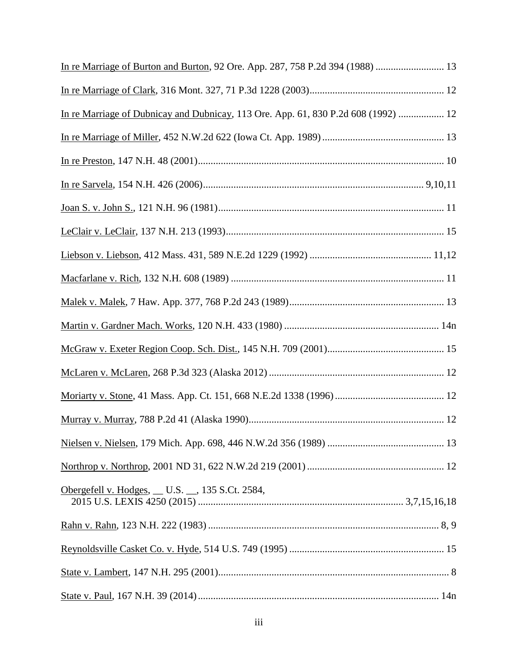| In re Marriage of Dubnicay and Dubnicay, 113 Ore. App. 61, 830 P.2d 608 (1992)  12 |  |
|------------------------------------------------------------------------------------|--|
|                                                                                    |  |
|                                                                                    |  |
|                                                                                    |  |
|                                                                                    |  |
|                                                                                    |  |
|                                                                                    |  |
|                                                                                    |  |
|                                                                                    |  |
|                                                                                    |  |
|                                                                                    |  |
|                                                                                    |  |
|                                                                                    |  |
|                                                                                    |  |
|                                                                                    |  |
|                                                                                    |  |
| Obergefell v. Hodges, __ U.S. __, 135 S.Ct. 2584,                                  |  |
|                                                                                    |  |
|                                                                                    |  |
|                                                                                    |  |
|                                                                                    |  |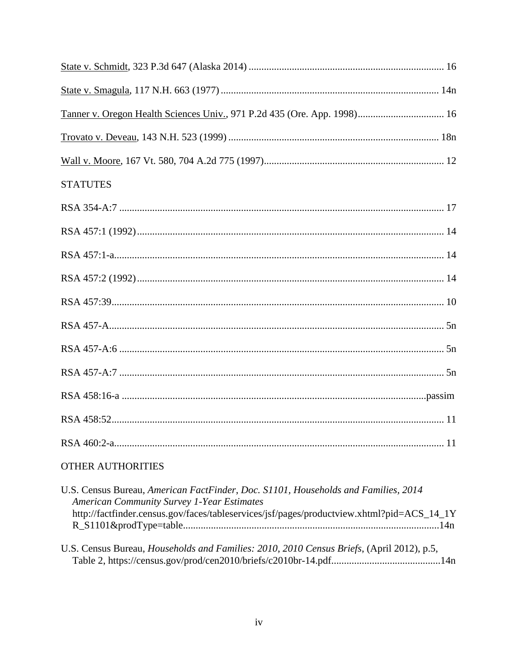| Tanner v. Oregon Health Sciences Univ., 971 P.2d 435 (Ore. App. 1998) 16 |
|--------------------------------------------------------------------------|
|                                                                          |
|                                                                          |
| <b>STATUTES</b>                                                          |
|                                                                          |
|                                                                          |
|                                                                          |
|                                                                          |
|                                                                          |
|                                                                          |
|                                                                          |
|                                                                          |
|                                                                          |
|                                                                          |
|                                                                          |

# OTHER AUTHORITIES

| U.S. Census Bureau, American FactFinder, Doc. S1101, Households and Families, 2014         |  |
|--------------------------------------------------------------------------------------------|--|
| <b>American Community Survey 1-Year Estimates</b>                                          |  |
| http://factfinder.census.gov/faces/tableservices/jsf/pages/productview.xhtml?pid=ACS_14_1Y |  |
|                                                                                            |  |
|                                                                                            |  |

U.S. Census Bureau, Households and Families: 2010, 2010 Census Briefs, (April 2012), p.5,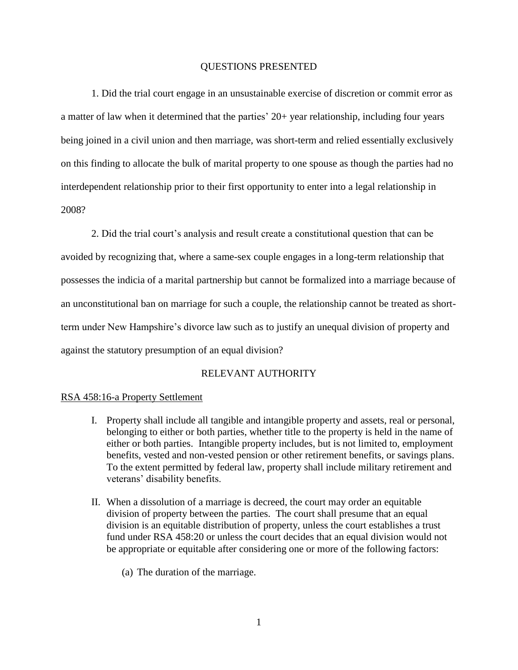#### QUESTIONS PRESENTED

1. Did the trial court engage in an unsustainable exercise of discretion or commit error as a matter of law when it determined that the parties' 20+ year relationship, including four years being joined in a civil union and then marriage, was short-term and relied essentially exclusively on this finding to allocate the bulk of marital property to one spouse as though the parties had no interdependent relationship prior to their first opportunity to enter into a legal relationship in 2008?

2. Did the trial court's analysis and result create a constitutional question that can be avoided by recognizing that, where a same-sex couple engages in a long-term relationship that possesses the indicia of a marital partnership but cannot be formalized into a marriage because of an unconstitutional ban on marriage for such a couple, the relationship cannot be treated as shortterm under New Hampshire's divorce law such as to justify an unequal division of property and against the statutory presumption of an equal division?

#### RELEVANT AUTHORITY

#### <span id="page-5-0"></span>RSA 458:16-a Property Settlement

- I. Property shall include all tangible and intangible property and assets, real or personal, belonging to either or both parties, whether title to the property is held in the name of either or both parties. Intangible property includes, but is not limited to, employment benefits, vested and non-vested pension or other retirement benefits, or savings plans. To the extent permitted by federal law, property shall include military retirement and veterans' disability benefits.
- II. When a dissolution of a marriage is decreed, the court may order an equitable division of property between the parties. The court shall presume that an equal division is an equitable distribution of property, unless the court establishes a trust fund under RSA 458:20 or unless the court decides that an equal division would not be appropriate or equitable after considering one or more of the following factors:
	- (a) The duration of the marriage.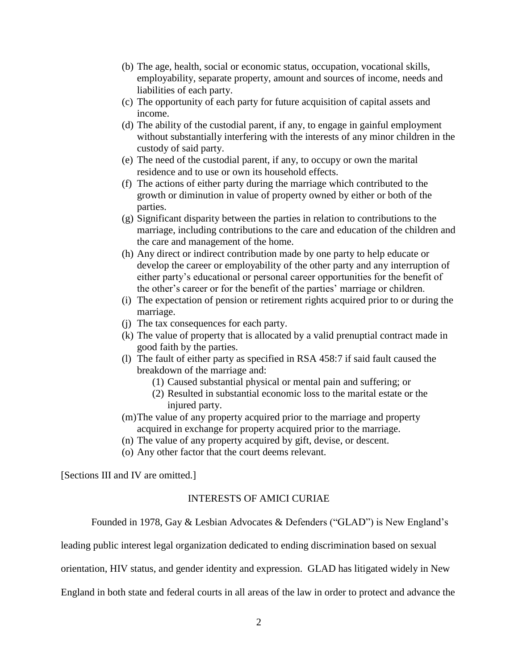- (b) The age, health, social or economic status, occupation, vocational skills, employability, separate property, amount and sources of income, needs and liabilities of each party.
- (c) The opportunity of each party for future acquisition of capital assets and income.
- (d) The ability of the custodial parent, if any, to engage in gainful employment without substantially interfering with the interests of any minor children in the custody of said party.
- (e) The need of the custodial parent, if any, to occupy or own the marital residence and to use or own its household effects.
- (f) The actions of either party during the marriage which contributed to the growth or diminution in value of property owned by either or both of the parties.
- (g) Significant disparity between the parties in relation to contributions to the marriage, including contributions to the care and education of the children and the care and management of the home.
- (h) Any direct or indirect contribution made by one party to help educate or develop the career or employability of the other party and any interruption of either party's educational or personal career opportunities for the benefit of the other's career or for the benefit of the parties' marriage or children.
- (i) The expectation of pension or retirement rights acquired prior to or during the marriage.
- (j) The tax consequences for each party.
- (k) The value of property that is allocated by a valid prenuptial contract made in good faith by the parties.
- (l) The fault of either party as specified in RSA 458:7 if said fault caused the breakdown of the marriage and:
	- (1) Caused substantial physical or mental pain and suffering; or
	- (2) Resulted in substantial economic loss to the marital estate or the injured party.
- (m)The value of any property acquired prior to the marriage and property acquired in exchange for property acquired prior to the marriage.
- (n) The value of any property acquired by gift, devise, or descent.
- (o) Any other factor that the court deems relevant.

<span id="page-6-0"></span>[Sections III and IV are omitted.]

#### INTERESTS OF AMICI CURIAE

Founded in 1978, Gay & Lesbian Advocates & Defenders ("GLAD") is New England's

leading public interest legal organization dedicated to ending discrimination based on sexual

orientation, HIV status, and gender identity and expression. GLAD has litigated widely in New

England in both state and federal courts in all areas of the law in order to protect and advance the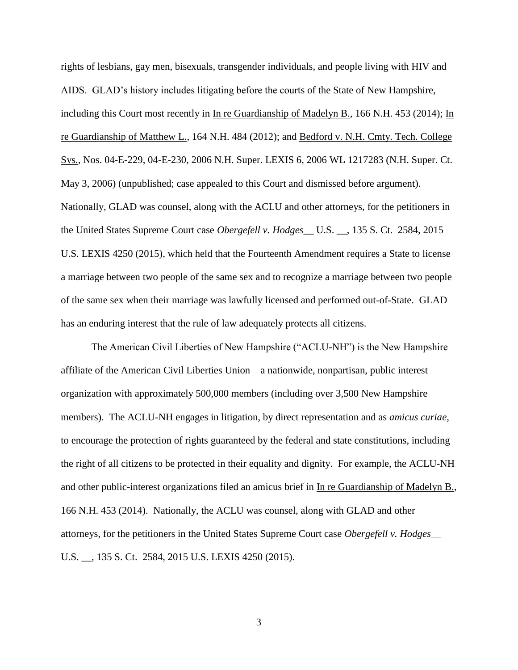rights of lesbians, gay men, bisexuals, transgender individuals, and people living with HIV and AIDS. GLAD's history includes litigating before the courts of the State of New Hampshire, including this Court most recently in In re Guardianship of Madelyn B., 166 N.H. 453 (2014); In re Guardianship of Matthew L., 164 N.H. 484 (2012); and Bedford v. N.H. Cmty. Tech. College Sys., Nos. 04-E-229, 04-E-230, 2006 N.H. Super. LEXIS 6, 2006 WL 1217283 (N.H. Super. Ct. May 3, 2006) (unpublished; case appealed to this Court and dismissed before argument). Nationally, GLAD was counsel, along with the ACLU and other attorneys, for the petitioners in the United States Supreme Court case *Obergefell v. Hodges*\_\_ U.S. \_\_, 135 S. Ct. 2584, 2015 U.S. LEXIS 4250 (2015), which held that the Fourteenth Amendment requires a State to license a marriage between two people of the same sex and to recognize a marriage between two people of the same sex when their marriage was lawfully licensed and performed out-of-State. GLAD has an enduring interest that the rule of law adequately protects all citizens.

The American Civil Liberties of New Hampshire ("ACLU-NH") is the New Hampshire affiliate of the American Civil Liberties Union – a nationwide, nonpartisan, public interest organization with approximately 500,000 members (including over 3,500 New Hampshire members). The ACLU-NH engages in litigation, by direct representation and as *amicus curiae*, to encourage the protection of rights guaranteed by the federal and state constitutions, including the right of all citizens to be protected in their equality and dignity. For example, the ACLU-NH and other public-interest organizations filed an amicus brief in In re Guardianship of Madelyn B., 166 N.H. 453 (2014). Nationally, the ACLU was counsel, along with GLAD and other attorneys, for the petitioners in the United States Supreme Court case *Obergefell v. Hodges*\_\_ U.S. \_\_, 135 S. Ct. 2584, 2015 U.S. LEXIS 4250 (2015).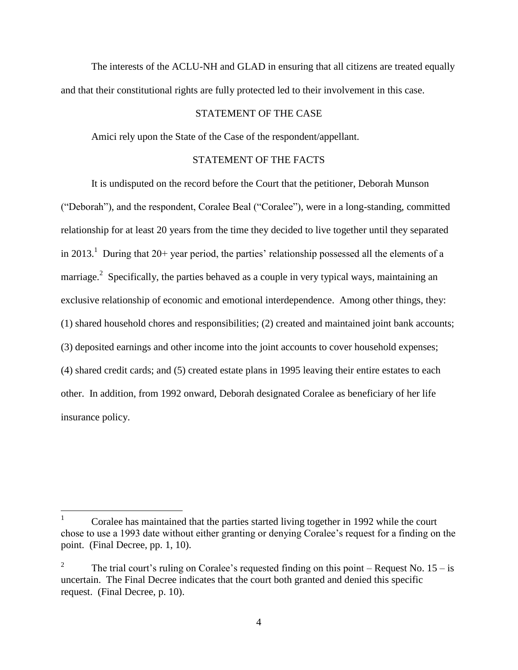The interests of the ACLU-NH and GLAD in ensuring that all citizens are treated equally and that their constitutional rights are fully protected led to their involvement in this case.

### STATEMENT OF THE CASE

<span id="page-8-0"></span>Amici rely upon the State of the Case of the respondent/appellant.

### STATEMENT OF THE FACTS

<span id="page-8-1"></span>It is undisputed on the record before the Court that the petitioner, Deborah Munson ("Deborah"), and the respondent, Coralee Beal ("Coralee"), were in a long-standing, committed relationship for at least 20 years from the time they decided to live together until they separated in 2013.<sup>1</sup> During that 20+ year period, the parties' relationship possessed all the elements of a marriage.<sup>2</sup> Specifically, the parties behaved as a couple in very typical ways, maintaining an exclusive relationship of economic and emotional interdependence. Among other things, they: (1) shared household chores and responsibilities; (2) created and maintained joint bank accounts; (3) deposited earnings and other income into the joint accounts to cover household expenses; (4) shared credit cards; and (5) created estate plans in 1995 leaving their entire estates to each other. In addition, from 1992 onward, Deborah designated Coralee as beneficiary of her life insurance policy.

 $\mathbf{1}$ <sup>1</sup> Coralee has maintained that the parties started living together in 1992 while the court chose to use a 1993 date without either granting or denying Coralee's request for a finding on the point. (Final Decree, pp. 1, 10).

<sup>2</sup> The trial court's ruling on Coralee's requested finding on this point – Request No.  $15 - is$ uncertain. The Final Decree indicates that the court both granted and denied this specific request. (Final Decree, p. 10).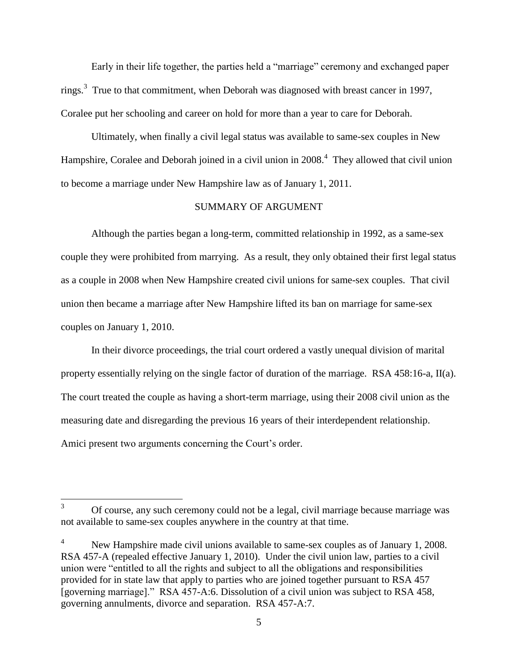Early in their life together, the parties held a "marriage" ceremony and exchanged paper rings.<sup>3</sup> True to that commitment, when Deborah was diagnosed with breast cancer in 1997, Coralee put her schooling and career on hold for more than a year to care for Deborah.

Ultimately, when finally a civil legal status was available to same-sex couples in New Hampshire, Coralee and Deborah joined in a civil union in 2008.<sup>4</sup> They allowed that civil union to become a marriage under New Hampshire law as of January 1, 2011.

### SUMMARY OF ARGUMENT

<span id="page-9-0"></span>Although the parties began a long-term, committed relationship in 1992, as a same-sex couple they were prohibited from marrying. As a result, they only obtained their first legal status as a couple in 2008 when New Hampshire created civil unions for same-sex couples. That civil union then became a marriage after New Hampshire lifted its ban on marriage for same-sex couples on January 1, 2010.

In their divorce proceedings, the trial court ordered a vastly unequal division of marital property essentially relying on the single factor of duration of the marriage. RSA 458:16-a, II(a). The court treated the couple as having a short-term marriage, using their 2008 civil union as the measuring date and disregarding the previous 16 years of their interdependent relationship. Amici present two arguments concerning the Court's order.

 $3<sup>7</sup>$ <sup>3</sup> Of course, any such ceremony could not be a legal, civil marriage because marriage was not available to same-sex couples anywhere in the country at that time.

New Hampshire made civil unions available to same-sex couples as of January 1, 2008. RSA 457-A (repealed effective January 1, 2010). Under the civil union law, parties to a civil union were "entitled to all the rights and subject to all the obligations and responsibilities provided for in state law that apply to parties who are joined together pursuant to RSA 457 [governing marriage]." RSA 457-A:6. Dissolution of a civil union was subject to RSA 458, governing annulments, divorce and separation. RSA 457-A:7.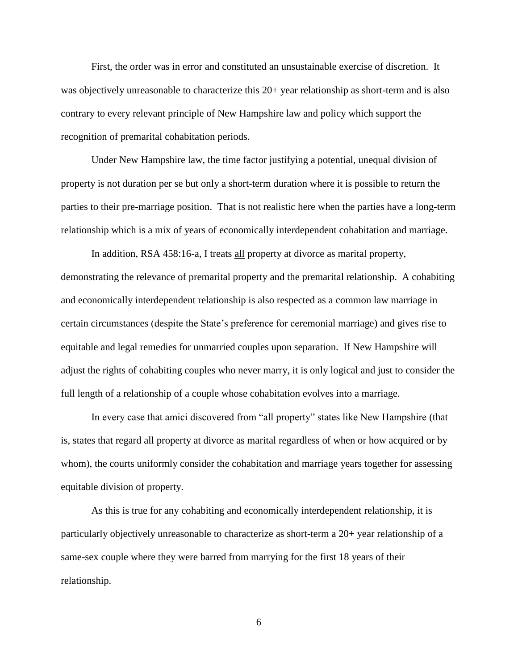First, the order was in error and constituted an unsustainable exercise of discretion. It was objectively unreasonable to characterize this 20+ year relationship as short-term and is also contrary to every relevant principle of New Hampshire law and policy which support the recognition of premarital cohabitation periods.

Under New Hampshire law, the time factor justifying a potential, unequal division of property is not duration per se but only a short-term duration where it is possible to return the parties to their pre-marriage position. That is not realistic here when the parties have a long-term relationship which is a mix of years of economically interdependent cohabitation and marriage.

In addition, RSA 458:16-a, I treats all property at divorce as marital property, demonstrating the relevance of premarital property and the premarital relationship. A cohabiting and economically interdependent relationship is also respected as a common law marriage in certain circumstances (despite the State's preference for ceremonial marriage) and gives rise to equitable and legal remedies for unmarried couples upon separation. If New Hampshire will adjust the rights of cohabiting couples who never marry, it is only logical and just to consider the full length of a relationship of a couple whose cohabitation evolves into a marriage.

In every case that amici discovered from "all property" states like New Hampshire (that is, states that regard all property at divorce as marital regardless of when or how acquired or by whom), the courts uniformly consider the cohabitation and marriage years together for assessing equitable division of property.

As this is true for any cohabiting and economically interdependent relationship, it is particularly objectively unreasonable to characterize as short-term a 20+ year relationship of a same-sex couple where they were barred from marrying for the first 18 years of their relationship.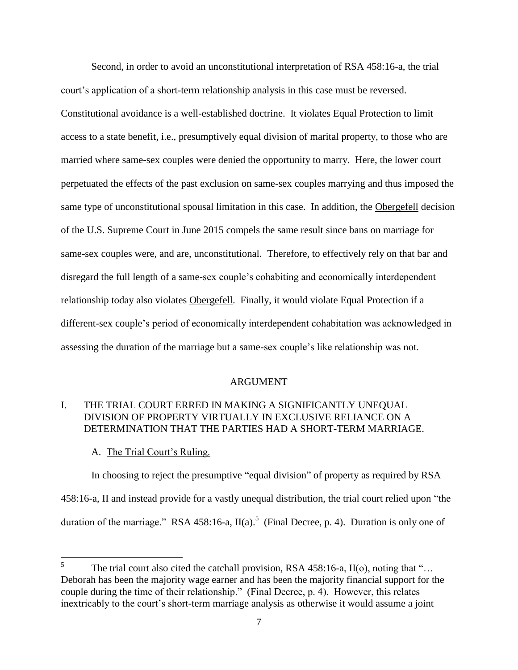Second, in order to avoid an unconstitutional interpretation of RSA 458:16-a, the trial court's application of a short-term relationship analysis in this case must be reversed. Constitutional avoidance is a well-established doctrine. It violates Equal Protection to limit access to a state benefit, i.e., presumptively equal division of marital property, to those who are married where same-sex couples were denied the opportunity to marry. Here, the lower court perpetuated the effects of the past exclusion on same-sex couples marrying and thus imposed the same type of unconstitutional spousal limitation in this case. In addition, the Obergefell decision of the U.S. Supreme Court in June 2015 compels the same result since bans on marriage for same-sex couples were, and are, unconstitutional. Therefore, to effectively rely on that bar and disregard the full length of a same-sex couple's cohabiting and economically interdependent relationship today also violates Obergefell. Finally, it would violate Equal Protection if a different-sex couple's period of economically interdependent cohabitation was acknowledged in assessing the duration of the marriage but a same-sex couple's like relationship was not.

#### ARGUMENT

# <span id="page-11-1"></span><span id="page-11-0"></span>I. THE TRIAL COURT ERRED IN MAKING A SIGNIFICANTLY UNEQUAL DIVISION OF PROPERTY VIRTUALLY IN EXCLUSIVE RELIANCE ON A DETERMINATION THAT THE PARTIES HAD A SHORT-TERM MARRIAGE.

A. The Trial Court's Ruling.

 $\overline{a}$ 

<span id="page-11-2"></span>In choosing to reject the presumptive "equal division" of property as required by RSA 458:16-a, II and instead provide for a vastly unequal distribution, the trial court relied upon "the duration of the marriage." RSA 458:16-a,  $II(a)$ .<sup>5</sup> (Final Decree, p. 4). Duration is only one of

<sup>5</sup> The trial court also cited the catchall provision, RSA 458:16-a, II(o), noting that "... Deborah has been the majority wage earner and has been the majority financial support for the couple during the time of their relationship." (Final Decree, p. 4). However, this relates inextricably to the court's short-term marriage analysis as otherwise it would assume a joint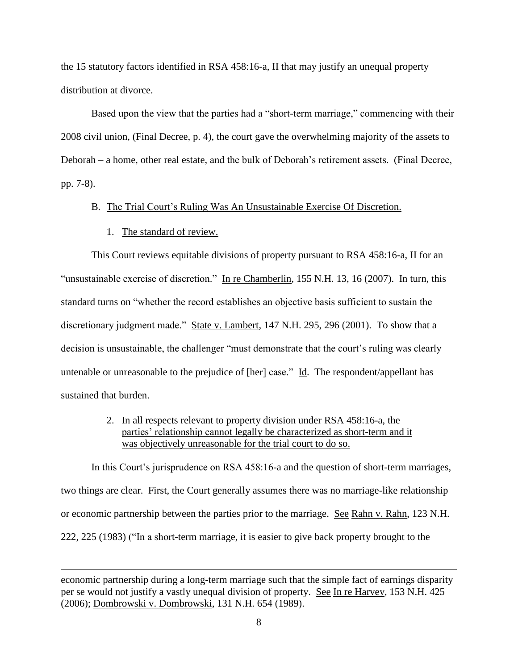the 15 statutory factors identified in RSA 458:16-a, II that may justify an unequal property distribution at divorce.

Based upon the view that the parties had a "short-term marriage," commencing with their 2008 civil union, (Final Decree, p. 4), the court gave the overwhelming majority of the assets to Deborah – a home, other real estate, and the bulk of Deborah's retirement assets. (Final Decree, pp. 7-8).

### <span id="page-12-0"></span>B. The Trial Court's Ruling Was An Unsustainable Exercise Of Discretion.

### 1. The standard of review.

 $\overline{a}$ 

<span id="page-12-1"></span>This Court reviews equitable divisions of property pursuant to RSA 458:16-a, II for an "unsustainable exercise of discretion." In re Chamberlin, 155 N.H. 13, 16 (2007). In turn, this standard turns on "whether the record establishes an objective basis sufficient to sustain the discretionary judgment made." State v. Lambert, 147 N.H. 295, 296 (2001). To show that a decision is unsustainable, the challenger "must demonstrate that the court's ruling was clearly untenable or unreasonable to the prejudice of [her] case." Id. The respondent/appellant has sustained that burden.

### <span id="page-12-2"></span>2. In all respects relevant to property division under RSA 458:16-a, the parties' relationship cannot legally be characterized as short-term and it was objectively unreasonable for the trial court to do so.

In this Court's jurisprudence on RSA 458:16-a and the question of short-term marriages, two things are clear. First, the Court generally assumes there was no marriage-like relationship or economic partnership between the parties prior to the marriage. See Rahn v. Rahn, 123 N.H. 222, 225 (1983) ("In a short-term marriage, it is easier to give back property brought to the

economic partnership during a long-term marriage such that the simple fact of earnings disparity per se would not justify a vastly unequal division of property. See In re Harvey, 153 N.H. 425 (2006); Dombrowski v. Dombrowski, 131 N.H. 654 (1989).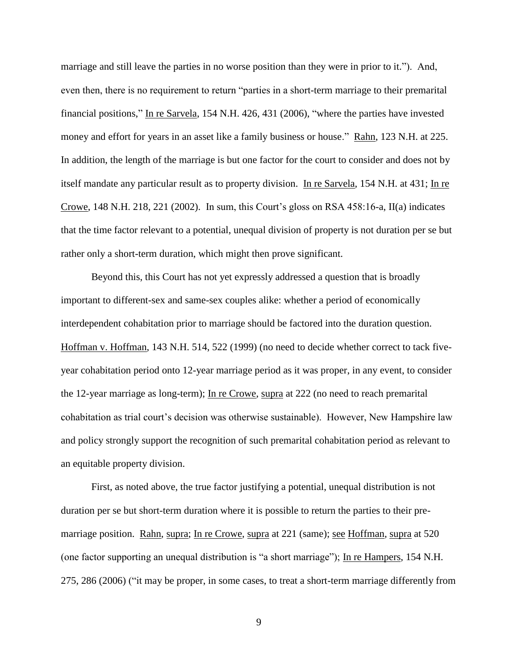marriage and still leave the parties in no worse position than they were in prior to it."). And, even then, there is no requirement to return "parties in a short-term marriage to their premarital financial positions," In re Sarvela, 154 N.H. 426, 431 (2006), "where the parties have invested money and effort for years in an asset like a family business or house." Rahn, 123 N.H. at 225. In addition, the length of the marriage is but one factor for the court to consider and does not by itself mandate any particular result as to property division. In re Sarvela, 154 N.H. at 431; In re Crowe, 148 N.H. 218, 221 (2002). In sum, this Court's gloss on RSA 458:16-a, II(a) indicates that the time factor relevant to a potential, unequal division of property is not duration per se but rather only a short-term duration, which might then prove significant.

Beyond this, this Court has not yet expressly addressed a question that is broadly important to different-sex and same-sex couples alike: whether a period of economically interdependent cohabitation prior to marriage should be factored into the duration question. Hoffman v. Hoffman, 143 N.H. 514, 522 (1999) (no need to decide whether correct to tack fiveyear cohabitation period onto 12-year marriage period as it was proper, in any event, to consider the 12-year marriage as long-term); In re Crowe, supra at 222 (no need to reach premarital cohabitation as trial court's decision was otherwise sustainable). However, New Hampshire law and policy strongly support the recognition of such premarital cohabitation period as relevant to an equitable property division.

First, as noted above, the true factor justifying a potential, unequal distribution is not duration per se but short-term duration where it is possible to return the parties to their premarriage position. Rahn, supra; In re Crowe, supra at 221 (same); see Hoffman, supra at 520 (one factor supporting an unequal distribution is "a short marriage"); In re Hampers, 154 N.H. 275, 286 (2006) ("it may be proper, in some cases, to treat a short-term marriage differently from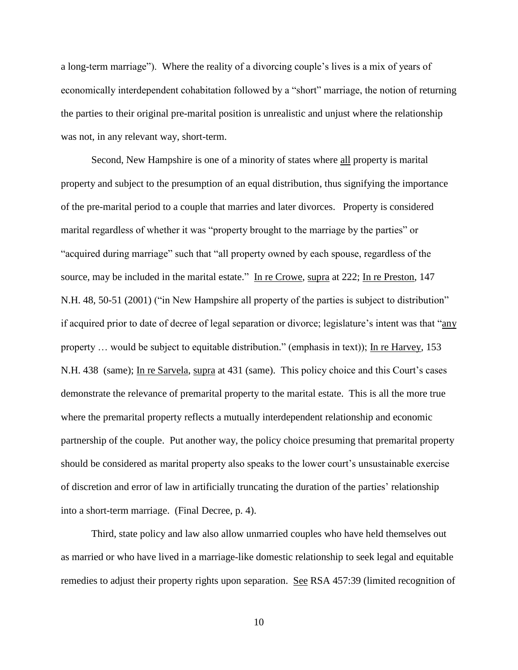a long-term marriage"). Where the reality of a divorcing couple's lives is a mix of years of economically interdependent cohabitation followed by a "short" marriage, the notion of returning the parties to their original pre-marital position is unrealistic and unjust where the relationship was not, in any relevant way, short-term.

Second, New Hampshire is one of a minority of states where all property is marital property and subject to the presumption of an equal distribution, thus signifying the importance of the pre-marital period to a couple that marries and later divorces. Property is considered marital regardless of whether it was "property brought to the marriage by the parties" or "acquired during marriage" such that "all property owned by each spouse, regardless of the source, may be included in the marital estate." In re Crowe, supra at 222; In re Preston, 147 N.H. 48, 50-51 (2001) ("in New Hampshire all property of the parties is subject to distribution" if acquired prior to date of decree of legal separation or divorce; legislature's intent was that "any property ... would be subject to equitable distribution." (emphasis in text)); In re Harvey, 153 N.H. 438 (same); In re Sarvela, supra at 431 (same). This policy choice and this Court's cases demonstrate the relevance of premarital property to the marital estate. This is all the more true where the premarital property reflects a mutually interdependent relationship and economic partnership of the couple. Put another way, the policy choice presuming that premarital property should be considered as marital property also speaks to the lower court's unsustainable exercise of discretion and error of law in artificially truncating the duration of the parties' relationship into a short-term marriage. (Final Decree, p. 4).

Third, state policy and law also allow unmarried couples who have held themselves out as married or who have lived in a marriage-like domestic relationship to seek legal and equitable remedies to adjust their property rights upon separation. See RSA 457:39 (limited recognition of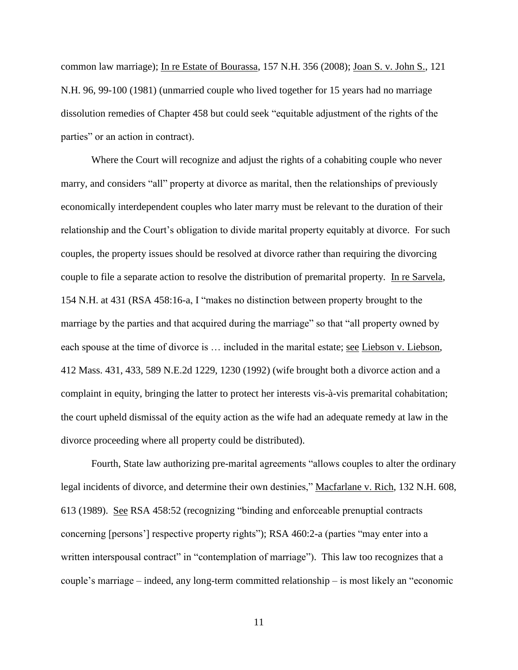common law marriage); In re Estate of Bourassa, 157 N.H. 356 (2008); Joan S. v. John S., 121 N.H. 96, 99-100 (1981) (unmarried couple who lived together for 15 years had no marriage dissolution remedies of Chapter 458 but could seek "equitable adjustment of the rights of the parties" or an action in contract).

Where the Court will recognize and adjust the rights of a cohabiting couple who never marry, and considers "all" property at divorce as marital, then the relationships of previously economically interdependent couples who later marry must be relevant to the duration of their relationship and the Court's obligation to divide marital property equitably at divorce. For such couples, the property issues should be resolved at divorce rather than requiring the divorcing couple to file a separate action to resolve the distribution of premarital property. In re Sarvela, 154 N.H. at 431 (RSA 458:16-a, I "makes no distinction between property brought to the marriage by the parties and that acquired during the marriage" so that "all property owned by each spouse at the time of divorce is ... included in the marital estate; <u>see Liebson v. Liebson</u>, 412 Mass. 431, 433, 589 N.E.2d 1229, 1230 (1992) (wife brought both a divorce action and a complaint in equity, bringing the latter to protect her interests vis-à-vis premarital cohabitation; the court upheld dismissal of the equity action as the wife had an adequate remedy at law in the divorce proceeding where all property could be distributed).

Fourth, State law authorizing pre-marital agreements "allows couples to alter the ordinary legal incidents of divorce, and determine their own destinies," Macfarlane v. Rich, 132 N.H. 608, 613 (1989). See RSA 458:52 (recognizing "binding and enforceable prenuptial contracts concerning [persons'] respective property rights"); RSA 460:2-a (parties "may enter into a written interspousal contract" in "contemplation of marriage"). This law too recognizes that a couple's marriage – indeed, any long-term committed relationship – is most likely an "economic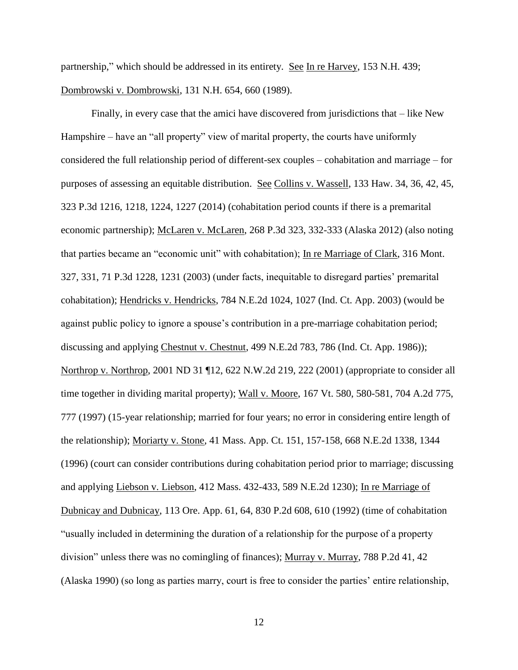partnership," which should be addressed in its entirety. See In re Harvey, 153 N.H. 439; Dombrowski v. Dombrowski, 131 N.H. 654, 660 (1989).

Finally, in every case that the amici have discovered from jurisdictions that – like New Hampshire – have an "all property" view of marital property, the courts have uniformly considered the full relationship period of different-sex couples – cohabitation and marriage – for purposes of assessing an equitable distribution. See Collins v. Wassell, 133 Haw. 34, 36, 42, 45, 323 P.3d 1216, 1218, 1224, 1227 (2014) (cohabitation period counts if there is a premarital economic partnership); McLaren v. McLaren, 268 P.3d 323, 332-333 (Alaska 2012) (also noting that parties became an "economic unit" with cohabitation); In re Marriage of Clark, 316 Mont. 327, 331, 71 P.3d 1228, 1231 (2003) (under facts, inequitable to disregard parties' premarital cohabitation); Hendricks v. Hendricks, 784 N.E.2d 1024, 1027 (Ind. Ct. App. 2003) (would be against public policy to ignore a spouse's contribution in a pre-marriage cohabitation period; discussing and applying Chestnut v. Chestnut, 499 N.E.2d 783, 786 (Ind. Ct. App. 1986)); Northrop v. Northrop, 2001 ND 31 ¶12, 622 N.W.2d 219, 222 (2001) (appropriate to consider all time together in dividing marital property); Wall v. Moore, 167 Vt. 580, 580-581, 704 A.2d 775, 777 (1997) (15-year relationship; married for four years; no error in considering entire length of the relationship); Moriarty v. Stone, 41 Mass. App. Ct. 151, 157-158, 668 N.E.2d 1338, 1344 (1996) (court can consider contributions during cohabitation period prior to marriage; discussing and applying Liebson v. Liebson, 412 Mass. 432-433, 589 N.E.2d 1230); In re Marriage of Dubnicay and Dubnicay, 113 Ore. App. 61, 64, 830 P.2d 608, 610 (1992) (time of cohabitation "usually included in determining the duration of a relationship for the purpose of a property division" unless there was no comingling of finances); Murray v. Murray, 788 P.2d 41, 42 (Alaska 1990) (so long as parties marry, court is free to consider the parties' entire relationship,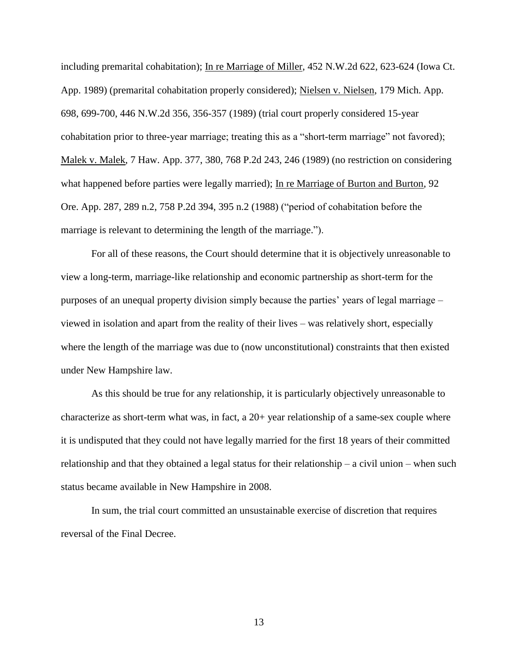including premarital cohabitation); In re Marriage of Miller, 452 N.W.2d 622, 623-624 (Iowa Ct. App. 1989) (premarital cohabitation properly considered); Nielsen v. Nielsen, 179 Mich. App. 698, 699-700, 446 N.W.2d 356, 356-357 (1989) (trial court properly considered 15-year cohabitation prior to three-year marriage; treating this as a "short-term marriage" not favored); Malek v. Malek, 7 Haw. App. 377, 380, 768 P.2d 243, 246 (1989) (no restriction on considering what happened before parties were legally married); In re Marriage of Burton and Burton, 92 Ore. App. 287, 289 n.2, 758 P.2d 394, 395 n.2 (1988) ("period of cohabitation before the marriage is relevant to determining the length of the marriage.").

For all of these reasons, the Court should determine that it is objectively unreasonable to view a long-term, marriage-like relationship and economic partnership as short-term for the purposes of an unequal property division simply because the parties' years of legal marriage – viewed in isolation and apart from the reality of their lives – was relatively short, especially where the length of the marriage was due to (now unconstitutional) constraints that then existed under New Hampshire law.

As this should be true for any relationship, it is particularly objectively unreasonable to characterize as short-term what was, in fact, a 20+ year relationship of a same-sex couple where it is undisputed that they could not have legally married for the first 18 years of their committed relationship and that they obtained a legal status for their relationship – a civil union – when such status became available in New Hampshire in 2008.

In sum, the trial court committed an unsustainable exercise of discretion that requires reversal of the Final Decree.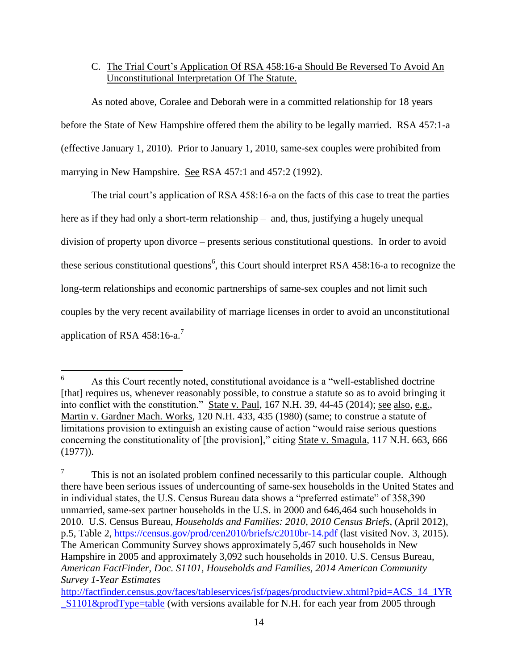# <span id="page-18-0"></span>C. The Trial Court's Application Of RSA 458:16-a Should Be Reversed To Avoid An Unconstitutional Interpretation Of The Statute.

As noted above, Coralee and Deborah were in a committed relationship for 18 years before the State of New Hampshire offered them the ability to be legally married. RSA 457:1-a (effective January 1, 2010). Prior to January 1, 2010, same-sex couples were prohibited from marrying in New Hampshire. See RSA 457:1 and 457:2 (1992).

The trial court's application of RSA 458:16-a on the facts of this case to treat the parties here as if they had only a short-term relationship – and, thus, justifying a hugely unequal division of property upon divorce – presents serious constitutional questions. In order to avoid these serious constitutional questions<sup>6</sup>, this Court should interpret RSA 458:16-a to recognize the long-term relationships and economic partnerships of same-sex couples and not limit such couples by the very recent availability of marriage licenses in order to avoid an unconstitutional application of RSA 458:16-a.<sup>7</sup>

 $\boldsymbol{6}$ As this Court recently noted, constitutional avoidance is a "well-established doctrine [that] requires us, whenever reasonably possible, to construe a statute so as to avoid bringing it into conflict with the constitution." State v. Paul, 167 N.H. 39, 44-45 (2014); see also, e.g., Martin v. Gardner Mach. Works, 120 N.H. 433, 435 (1980) (same; to construe a statute of limitations provision to extinguish an existing cause of action "would raise serious questions concerning the constitutionality of [the provision]," citing State v. Smagula, 117 N.H. 663, 666 (1977)).

<sup>7</sup> This is not an isolated problem confined necessarily to this particular couple. Although there have been serious issues of undercounting of same-sex households in the United States and in individual states, the U.S. Census Bureau data shows a "preferred estimate" of 358,390 unmarried, same-sex partner households in the U.S. in 2000 and 646,464 such households in 2010. U.S. Census Bureau, *Households and Families: 2010, 2010 Census Briefs*, (April 2012), p.5, Table 2,<https://census.gov/prod/cen2010/briefs/c2010br-14.pdf> (last visited Nov. 3, 2015). The American Community Survey shows approximately 5,467 such households in New Hampshire in 2005 and approximately 3,092 such households in 2010. U.S. Census Bureau, *American FactFinder*, *Doc. S1101, Households and Families, 2014 American Community Survey 1-Year Estimates*

[http://factfinder.census.gov/faces/tableservices/jsf/pages/productview.xhtml?pid=ACS\\_14\\_1YR](http://factfinder.census.gov/faces/tableservices/jsf/pages/productview.xhtml?pid=ACS_14_1YR_S1101&prodType=table) [\\_S1101&prodType=table](http://factfinder.census.gov/faces/tableservices/jsf/pages/productview.xhtml?pid=ACS_14_1YR_S1101&prodType=table) (with versions available for N.H. for each year from 2005 through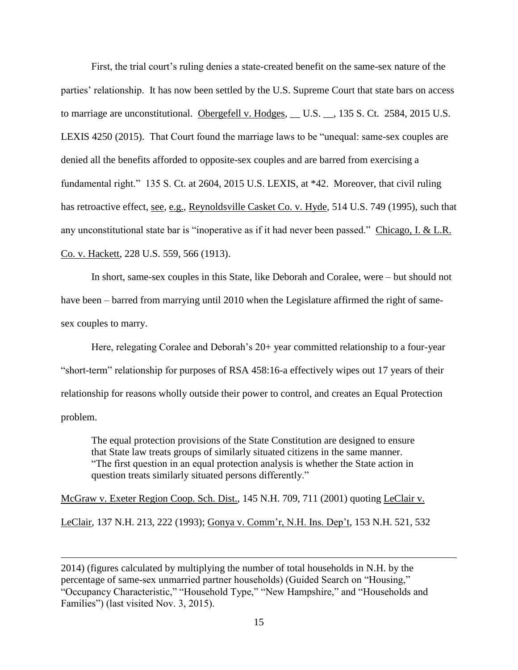First, the trial court's ruling denies a state-created benefit on the same-sex nature of the parties' relationship. It has now been settled by the U.S. Supreme Court that state bars on access to marriage are unconstitutional. Obergefell v. Hodges, \_\_ U.S. \_\_, 135 S. Ct. 2584, 2015 U.S. LEXIS 4250 (2015). That Court found the marriage laws to be "unequal: same-sex couples are denied all the benefits afforded to opposite-sex couples and are barred from exercising a fundamental right." 135 S. Ct. at 2604, 2015 U.S. LEXIS, at \*42. Moreover, that civil ruling has retroactive effect, see, e.g., Reynoldsville Casket Co. v. Hyde, 514 U.S. 749 (1995), such that any unconstitutional state bar is "inoperative as if it had never been passed." Chicago, I. & L.R. Co. v. Hackett, 228 U.S. 559, 566 (1913).

In short, same-sex couples in this State, like Deborah and Coralee, were – but should not have been – barred from marrying until 2010 when the Legislature affirmed the right of samesex couples to marry.

Here, relegating Coralee and Deborah's 20+ year committed relationship to a four-year "short-term" relationship for purposes of RSA 458:16-a effectively wipes out 17 years of their relationship for reasons wholly outside their power to control, and creates an Equal Protection problem.

The equal protection provisions of the State Constitution are designed to ensure that State law treats groups of similarly situated citizens in the same manner. "The first question in an equal protection analysis is whether the State action in question treats similarly situated persons differently."

McGraw v. Exeter Region Coop. Sch. Dist., 145 N.H. 709, 711 (2001) quoting LeClair v.

LeClair, 137 N.H. 213, 222 (1993); Gonya v. Comm'r, N.H. Ins. Dep't, 153 N.H. 521, 532

 $\overline{a}$ 

<sup>2014) (</sup>figures calculated by multiplying the number of total households in N.H. by the percentage of same-sex unmarried partner households) (Guided Search on "Housing," "Occupancy Characteristic," "Household Type," "New Hampshire," and "Households and Families") (last visited Nov. 3, 2015).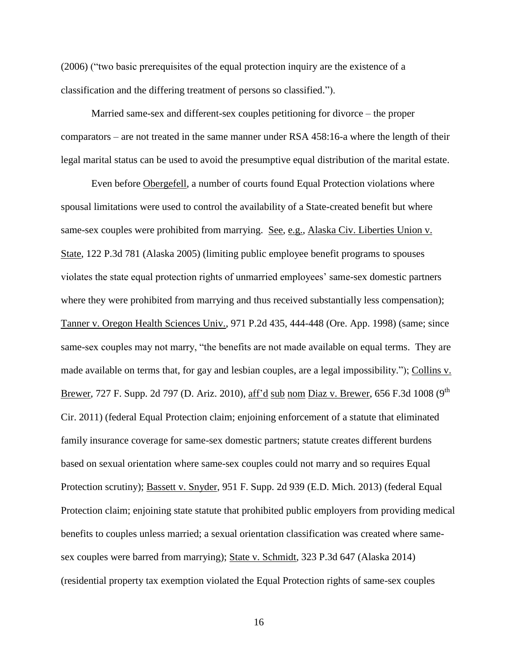(2006) ("two basic prerequisites of the equal protection inquiry are the existence of a classification and the differing treatment of persons so classified.").

Married same-sex and different-sex couples petitioning for divorce – the proper comparators – are not treated in the same manner under RSA 458:16-a where the length of their legal marital status can be used to avoid the presumptive equal distribution of the marital estate.

Even before Obergefell, a number of courts found Equal Protection violations where spousal limitations were used to control the availability of a State-created benefit but where same-sex couples were prohibited from marrying. See, e.g., Alaska Civ. Liberties Union v. State, 122 P.3d 781 (Alaska 2005) (limiting public employee benefit programs to spouses violates the state equal protection rights of unmarried employees' same-sex domestic partners where they were prohibited from marrying and thus received substantially less compensation); Tanner v. Oregon Health Sciences Univ., 971 P.2d 435, 444-448 (Ore. App. 1998) (same; since same-sex couples may not marry, "the benefits are not made available on equal terms. They are made available on terms that, for gay and lesbian couples, are a legal impossibility."); Collins v. Brewer, 727 F. Supp. 2d 797 (D. Ariz. 2010), aff'd sub nom Diaz v. Brewer, 656 F.3d 1008 (9<sup>th</sup> Cir. 2011) (federal Equal Protection claim; enjoining enforcement of a statute that eliminated family insurance coverage for same-sex domestic partners; statute creates different burdens based on sexual orientation where same-sex couples could not marry and so requires Equal Protection scrutiny); Bassett v. Snyder, 951 F. Supp. 2d 939 (E.D. Mich. 2013) (federal Equal Protection claim; enjoining state statute that prohibited public employers from providing medical benefits to couples unless married; a sexual orientation classification was created where samesex couples were barred from marrying); State v. Schmidt, 323 P.3d 647 (Alaska 2014) (residential property tax exemption violated the Equal Protection rights of same-sex couples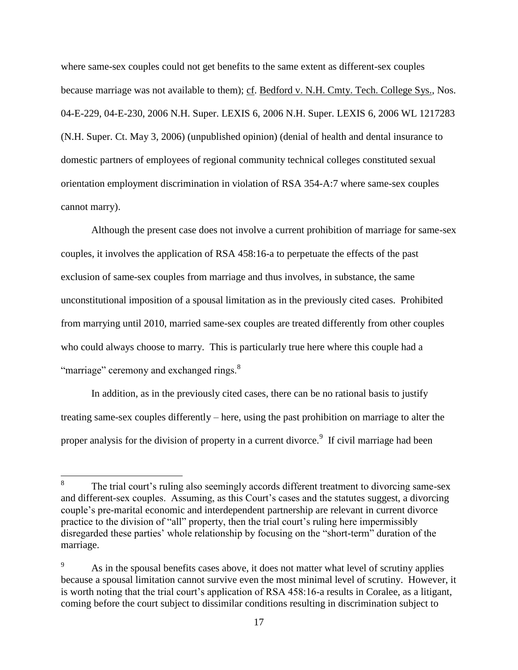where same-sex couples could not get benefits to the same extent as different-sex couples because marriage was not available to them); cf. Bedford v. N.H. Cmty. Tech. College Sys., Nos. 04-E-229, 04-E-230, 2006 N.H. Super. LEXIS 6, 2006 N.H. Super. LEXIS 6, 2006 WL 1217283 (N.H. Super. Ct. May 3, 2006) (unpublished opinion) (denial of health and dental insurance to domestic partners of employees of regional community technical colleges constituted sexual orientation employment discrimination in violation of RSA 354-A:7 where same-sex couples cannot marry).

Although the present case does not involve a current prohibition of marriage for same-sex couples, it involves the application of RSA 458:16-a to perpetuate the effects of the past exclusion of same-sex couples from marriage and thus involves, in substance, the same unconstitutional imposition of a spousal limitation as in the previously cited cases. Prohibited from marrying until 2010, married same-sex couples are treated differently from other couples who could always choose to marry. This is particularly true here where this couple had a "marriage" ceremony and exchanged rings.<sup>8</sup>

In addition, as in the previously cited cases, there can be no rational basis to justify treating same-sex couples differently – here, using the past prohibition on marriage to alter the proper analysis for the division of property in a current divorce.<sup>9</sup> If civil marriage had been

 8 The trial court's ruling also seemingly accords different treatment to divorcing same-sex and different-sex couples. Assuming, as this Court's cases and the statutes suggest, a divorcing couple's pre-marital economic and interdependent partnership are relevant in current divorce practice to the division of "all" property, then the trial court's ruling here impermissibly disregarded these parties' whole relationship by focusing on the "short-term" duration of the marriage.

As in the spousal benefits cases above, it does not matter what level of scrutiny applies because a spousal limitation cannot survive even the most minimal level of scrutiny. However, it is worth noting that the trial court's application of RSA 458:16-a results in Coralee, as a litigant, coming before the court subject to dissimilar conditions resulting in discrimination subject to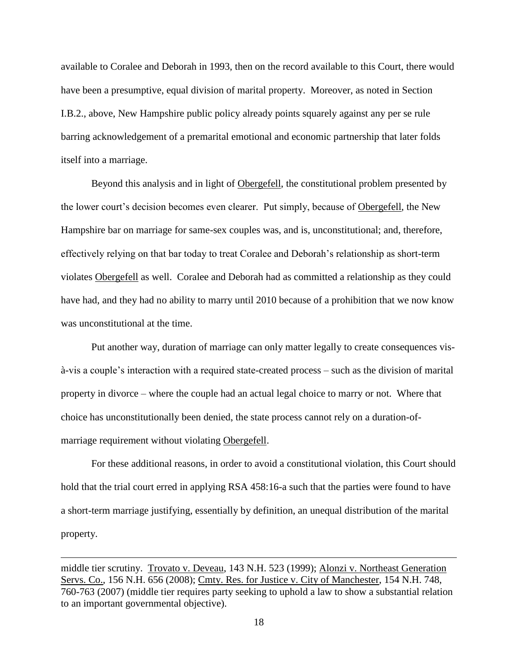available to Coralee and Deborah in 1993, then on the record available to this Court, there would have been a presumptive, equal division of marital property. Moreover, as noted in Section I.B.2., above, New Hampshire public policy already points squarely against any per se rule barring acknowledgement of a premarital emotional and economic partnership that later folds itself into a marriage.

Beyond this analysis and in light of Obergefell, the constitutional problem presented by the lower court's decision becomes even clearer. Put simply, because of Obergefell, the New Hampshire bar on marriage for same-sex couples was, and is, unconstitutional; and, therefore, effectively relying on that bar today to treat Coralee and Deborah's relationship as short-term violates Obergefell as well. Coralee and Deborah had as committed a relationship as they could have had, and they had no ability to marry until 2010 because of a prohibition that we now know was unconstitutional at the time.

Put another way, duration of marriage can only matter legally to create consequences visà-vis a couple's interaction with a required state-created process – such as the division of marital property in divorce – where the couple had an actual legal choice to marry or not. Where that choice has unconstitutionally been denied, the state process cannot rely on a duration-ofmarriage requirement without violating Obergefell.

For these additional reasons, in order to avoid a constitutional violation, this Court should hold that the trial court erred in applying RSA 458:16-a such that the parties were found to have a short-term marriage justifying, essentially by definition, an unequal distribution of the marital property.

 $\overline{a}$ 

middle tier scrutiny. Trovato v. Deveau, 143 N.H. 523 (1999); Alonzi v. Northeast Generation Servs. Co., 156 N.H. 656 (2008); Cmty. Res. for Justice v. City of Manchester, 154 N.H. 748, 760-763 (2007) (middle tier requires party seeking to uphold a law to show a substantial relation to an important governmental objective).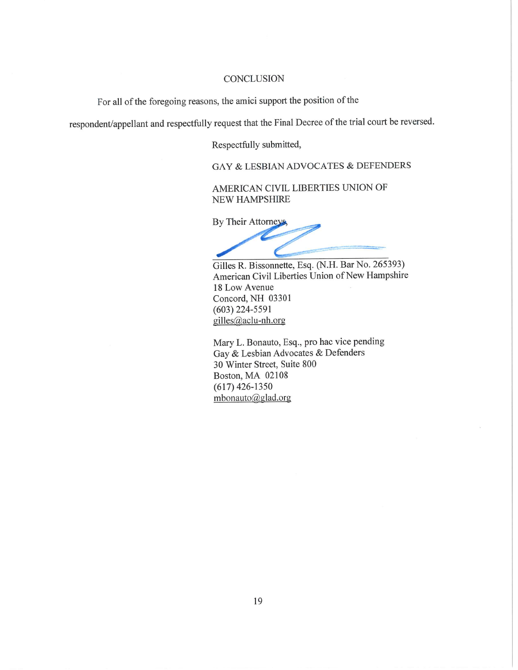### **CONCLUSION**

For all of the foregoing reasons, the amici support the position of the

respondent/appellant and respectfully request that the Final Decree of the trial court be reversed.

Respectfully submitted,

GAY & LESBIAN ADVOCATES & DEFENDERS

### AMERICAN CIVIL LIBERTIES UNION OF **NEW HAMPSHIRE**

By Their Attorneys,

Gilles R. Bissonnette, Esq. (N.H. Bar No. 265393) American Civil Liberties Union of New Hampshire 18 Low Avenue Concord, NH 03301  $(603)$  224-5591 gilles@aclu-nh.org

Mary L. Bonauto, Esq., pro hac vice pending Gay & Lesbian Advocates & Defenders 30 Winter Street, Suite 800 Boston, MA 02108  $(617)$  426-1350 mbonauto@glad.org